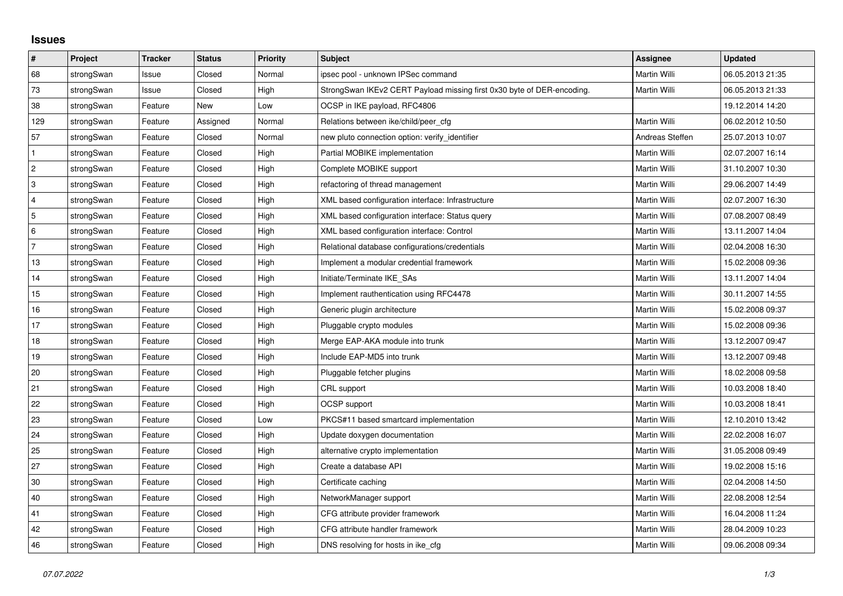## **Issues**

| #              | Project    | <b>Tracker</b> | <b>Status</b> | <b>Priority</b> | <b>Subject</b>                                                         | Assignee            | <b>Updated</b>   |
|----------------|------------|----------------|---------------|-----------------|------------------------------------------------------------------------|---------------------|------------------|
| 68             | strongSwan | Issue          | Closed        | Normal          | ipsec pool - unknown IPSec command                                     | <b>Martin Willi</b> | 06.05.2013 21:35 |
| 73             | strongSwan | Issue          | Closed        | High            | StrongSwan IKEv2 CERT Payload missing first 0x30 byte of DER-encoding. | Martin Willi        | 06.05.2013 21:33 |
| 38             | strongSwan | Feature        | <b>New</b>    | Low             | OCSP in IKE payload, RFC4806                                           |                     | 19.12.2014 14:20 |
| 129            | strongSwan | Feature        | Assigned      | Normal          | Relations between ike/child/peer cfg                                   | <b>Martin Willi</b> | 06.02.2012 10:50 |
| 57             | strongSwan | Feature        | Closed        | Normal          | new pluto connection option: verify_identifier                         | Andreas Steffen     | 25.07.2013 10:07 |
| $\mathbf{1}$   | strongSwan | Feature        | Closed        | High            | Partial MOBIKE implementation                                          | Martin Willi        | 02.07.2007 16:14 |
| $\overline{2}$ | strongSwan | Feature        | Closed        | High            | Complete MOBIKE support                                                | Martin Willi        | 31.10.2007 10:30 |
| 3              | strongSwan | Feature        | Closed        | High            | refactoring of thread management                                       | Martin Willi        | 29.06.2007 14:49 |
| $\overline{4}$ | strongSwan | Feature        | Closed        | High            | XML based configuration interface: Infrastructure                      | Martin Willi        | 02.07.2007 16:30 |
| 5              | strongSwan | Feature        | Closed        | High            | XML based configuration interface: Status query                        | Martin Willi        | 07.08.2007 08:49 |
| 6              | strongSwan | Feature        | Closed        | High            | XML based configuration interface: Control                             | Martin Willi        | 13.11.2007 14:04 |
| $\overline{7}$ | strongSwan | Feature        | Closed        | High            | Relational database configurations/credentials                         | Martin Willi        | 02.04.2008 16:30 |
| 13             | strongSwan | Feature        | Closed        | High            | Implement a modular credential framework                               | Martin Willi        | 15.02.2008 09:36 |
| 14             | strongSwan | Feature        | Closed        | High            | Initiate/Terminate IKE_SAs                                             | Martin Willi        | 13.11.2007 14:04 |
| 15             | strongSwan | Feature        | Closed        | High            | Implement rauthentication using RFC4478                                | Martin Willi        | 30.11.2007 14:55 |
| 16             | strongSwan | Feature        | Closed        | High            | Generic plugin architecture                                            | Martin Willi        | 15.02.2008 09:37 |
| 17             | strongSwan | Feature        | Closed        | High            | Pluggable crypto modules                                               | Martin Willi        | 15.02.2008 09:36 |
| 18             | strongSwan | Feature        | Closed        | High            | Merge EAP-AKA module into trunk                                        | Martin Willi        | 13.12.2007 09:47 |
| 19             | strongSwan | Feature        | Closed        | High            | Include EAP-MD5 into trunk                                             | Martin Willi        | 13.12.2007 09:48 |
| 20             | strongSwan | Feature        | Closed        | High            | Pluggable fetcher plugins                                              | Martin Willi        | 18.02.2008 09:58 |
| 21             | strongSwan | Feature        | Closed        | High            | CRL support                                                            | Martin Willi        | 10.03.2008 18:40 |
| 22             | strongSwan | Feature        | Closed        | High            | <b>OCSP</b> support                                                    | Martin Willi        | 10.03.2008 18:41 |
| 23             | strongSwan | Feature        | Closed        | Low             | PKCS#11 based smartcard implementation                                 | Martin Willi        | 12.10.2010 13:42 |
| 24             | strongSwan | Feature        | Closed        | High            | Update doxygen documentation                                           | Martin Willi        | 22.02.2008 16:07 |
| 25             | strongSwan | Feature        | Closed        | High            | alternative crypto implementation                                      | Martin Willi        | 31.05.2008 09:49 |
| 27             | strongSwan | Feature        | Closed        | High            | Create a database API                                                  | Martin Willi        | 19.02.2008 15:16 |
| $30\,$         | strongSwan | Feature        | Closed        | High            | Certificate caching                                                    | Martin Willi        | 02.04.2008 14:50 |
| 40             | strongSwan | Feature        | Closed        | High            | NetworkManager support                                                 | Martin Willi        | 22.08.2008 12:54 |
| 41             | strongSwan | Feature        | Closed        | High            | CFG attribute provider framework                                       | Martin Willi        | 16.04.2008 11:24 |
| 42             | strongSwan | Feature        | Closed        | High            | CFG attribute handler framework                                        | <b>Martin Willi</b> | 28.04.2009 10:23 |
| 46             | strongSwan | Feature        | Closed        | High            | DNS resolving for hosts in ike cfg.                                    | Martin Willi        | 09.06.2008 09:34 |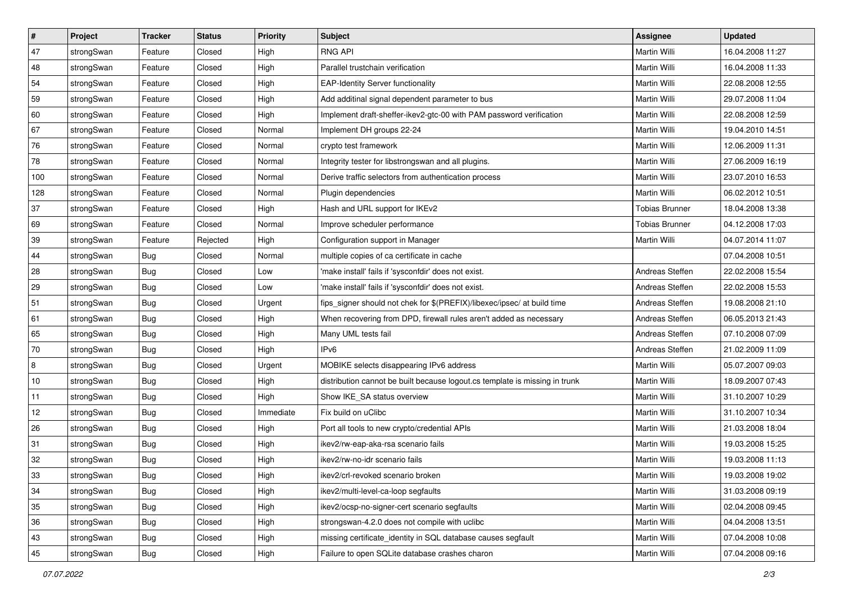| $\vert$ # | Project    | <b>Tracker</b> | <b>Status</b> | <b>Priority</b> | <b>Subject</b>                                                              | <b>Assignee</b>       | <b>Updated</b>   |
|-----------|------------|----------------|---------------|-----------------|-----------------------------------------------------------------------------|-----------------------|------------------|
| 47        | strongSwan | Feature        | Closed        | High            | <b>RNG API</b>                                                              | Martin Willi          | 16.04.2008 11:27 |
| 48        | strongSwan | Feature        | Closed        | High            | Parallel trustchain verification                                            | <b>Martin Willi</b>   | 16.04.2008 11:33 |
| 54        | strongSwan | Feature        | Closed        | High            | <b>EAP-Identity Server functionality</b>                                    | Martin Willi          | 22.08.2008 12:55 |
| 59        | strongSwan | Feature        | Closed        | High            | Add additinal signal dependent parameter to bus                             | Martin Willi          | 29.07.2008 11:04 |
| 60        | strongSwan | Feature        | Closed        | High            | Implement draft-sheffer-ikev2-gtc-00 with PAM password verification         | Martin Willi          | 22.08.2008 12:59 |
| 67        | strongSwan | Feature        | Closed        | Normal          | Implement DH groups 22-24                                                   | Martin Willi          | 19.04.2010 14:51 |
| 76        | strongSwan | Feature        | Closed        | Normal          | crypto test framework                                                       | Martin Willi          | 12.06.2009 11:31 |
| 78        | strongSwan | Feature        | Closed        | Normal          | Integrity tester for libstrongswan and all plugins.                         | Martin Willi          | 27.06.2009 16:19 |
| 100       | strongSwan | Feature        | Closed        | Normal          | Derive traffic selectors from authentication process                        | Martin Willi          | 23.07.2010 16:53 |
| 128       | strongSwan | Feature        | Closed        | Normal          | Plugin dependencies                                                         | <b>Martin Willi</b>   | 06.02.2012 10:51 |
| 37        | strongSwan | Feature        | Closed        | High            | Hash and URL support for IKEv2                                              | <b>Tobias Brunner</b> | 18.04.2008 13:38 |
| 69        | strongSwan | Feature        | Closed        | Normal          | Improve scheduler performance                                               | <b>Tobias Brunner</b> | 04.12.2008 17:03 |
| 39        | strongSwan | Feature        | Rejected      | High            | Configuration support in Manager                                            | <b>Martin Willi</b>   | 04.07.2014 11:07 |
| 44        | strongSwan | <b>Bug</b>     | Closed        | Normal          | multiple copies of ca certificate in cache                                  |                       | 07.04.2008 10:51 |
| 28        | strongSwan | Bug            | Closed        | Low             | 'make install' fails if 'sysconfdir' does not exist.                        | Andreas Steffen       | 22.02.2008 15:54 |
| 29        | strongSwan | <b>Bug</b>     | Closed        | Low             | 'make install' fails if 'sysconfdir' does not exist.                        | Andreas Steffen       | 22.02.2008 15:53 |
| 51        | strongSwan | <b>Bug</b>     | Closed        | Urgent          | fips_signer should not chek for \$(PREFIX)/libexec/ipsec/ at build time     | Andreas Steffen       | 19.08.2008 21:10 |
| 61        | strongSwan | Bug            | Closed        | High            | When recovering from DPD, firewall rules aren't added as necessary          | Andreas Steffen       | 06.05.2013 21:43 |
| 65        | strongSwan | <b>Bug</b>     | Closed        | High            | Many UML tests fail                                                         | Andreas Steffen       | 07.10.2008 07:09 |
| 70        | strongSwan | Bug            | Closed        | High            | IP <sub>v6</sub>                                                            | Andreas Steffen       | 21.02.2009 11:09 |
| 8         | strongSwan | <b>Bug</b>     | Closed        | Urgent          | MOBIKE selects disappearing IPv6 address                                    | Martin Willi          | 05.07.2007 09:03 |
| 10        | strongSwan | <b>Bug</b>     | Closed        | High            | distribution cannot be built because logout.cs template is missing in trunk | Martin Willi          | 18.09.2007 07:43 |
| 11        | strongSwan | Bug            | Closed        | High            | Show IKE_SA status overview                                                 | Martin Willi          | 31.10.2007 10:29 |
| 12        | strongSwan | Bug            | Closed        | Immediate       | Fix build on uClibc                                                         | Martin Willi          | 31.10.2007 10:34 |
| 26        | strongSwan | <b>Bug</b>     | Closed        | High            | Port all tools to new crypto/credential APIs                                | Martin Willi          | 21.03.2008 18:04 |
| 31        | strongSwan | Bug            | Closed        | High            | ikev2/rw-eap-aka-rsa scenario fails                                         | Martin Willi          | 19.03.2008 15:25 |
| 32        | strongSwan | Bug            | Closed        | High            | ikev2/rw-no-idr scenario fails                                              | Martin Willi          | 19.03.2008 11:13 |
| 33        | strongSwan | Bug            | Closed        | High            | ikev2/crl-revoked scenario broken                                           | Martin Willi          | 19.03.2008 19:02 |
| 34        | strongSwan | Bug            | Closed        | High            | ikev2/multi-level-ca-loop segfaults                                         | Martin Willi          | 31.03.2008 09:19 |
| 35        | strongSwan | Bug            | Closed        | High            | ikev2/ocsp-no-signer-cert scenario segfaults                                | Martin Willi          | 02.04.2008 09:45 |
| 36        | strongSwan | Bug            | Closed        | High            | strongswan-4.2.0 does not compile with uclibc                               | Martin Willi          | 04.04.2008 13:51 |
| 43        | strongSwan | Bug            | Closed        | High            | missing certificate_identity in SQL database causes segfault                | Martin Willi          | 07.04.2008 10:08 |
| 45        | strongSwan | <b>Bug</b>     | Closed        | High            | Failure to open SQLite database crashes charon                              | Martin Willi          | 07.04.2008 09:16 |